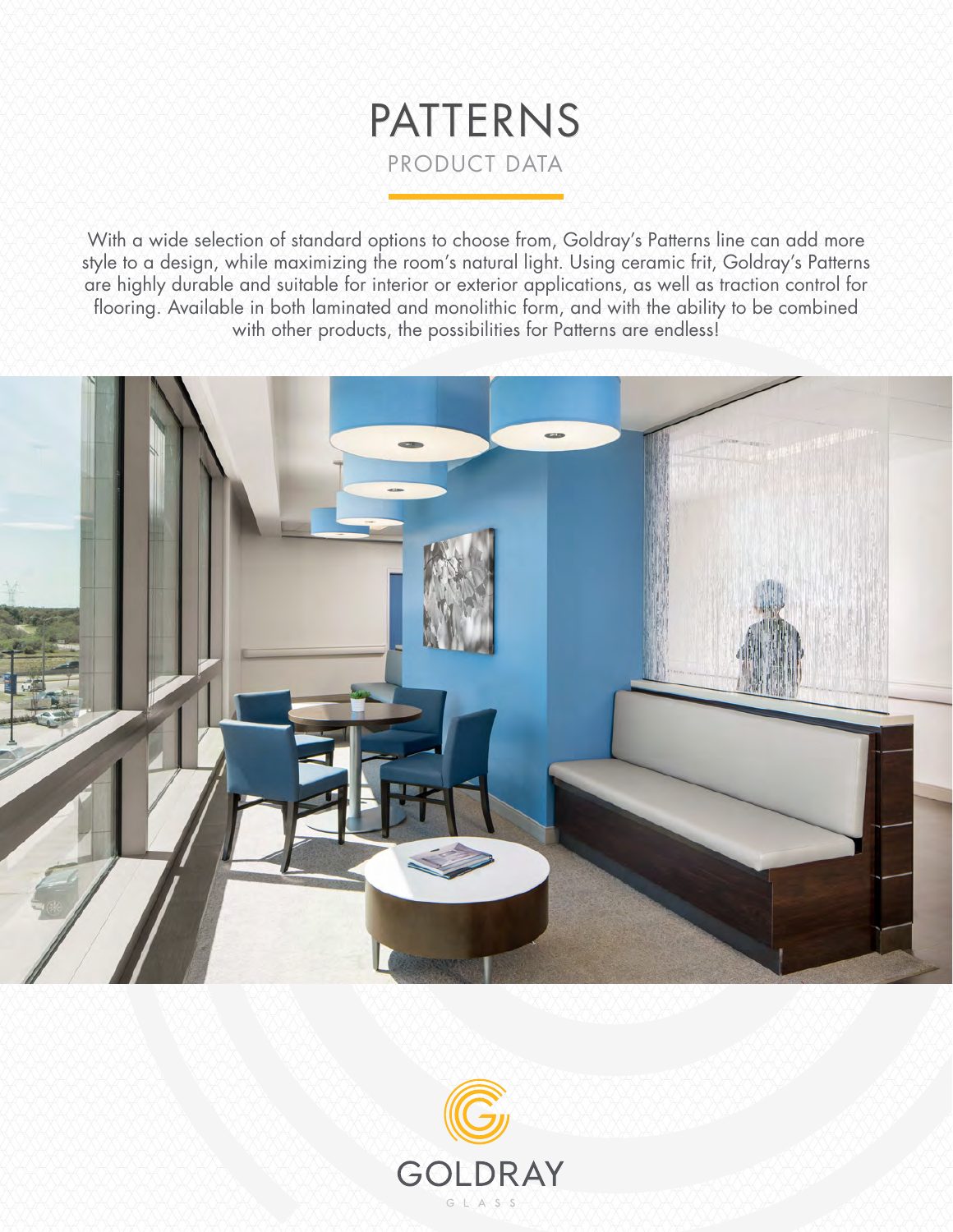

With a wide selection of standard options to choose from, Goldray's Patterns line can add more style to a design, while maximizing the room's natural light. Using ceramic frit, Goldray's Patterns are highly durable and suitable for interior or exterior applications, as well as traction control for flooring. Available in both laminated and monolithic form, and with the ability to be combined with other products, the possibilities for Patterns are endless!